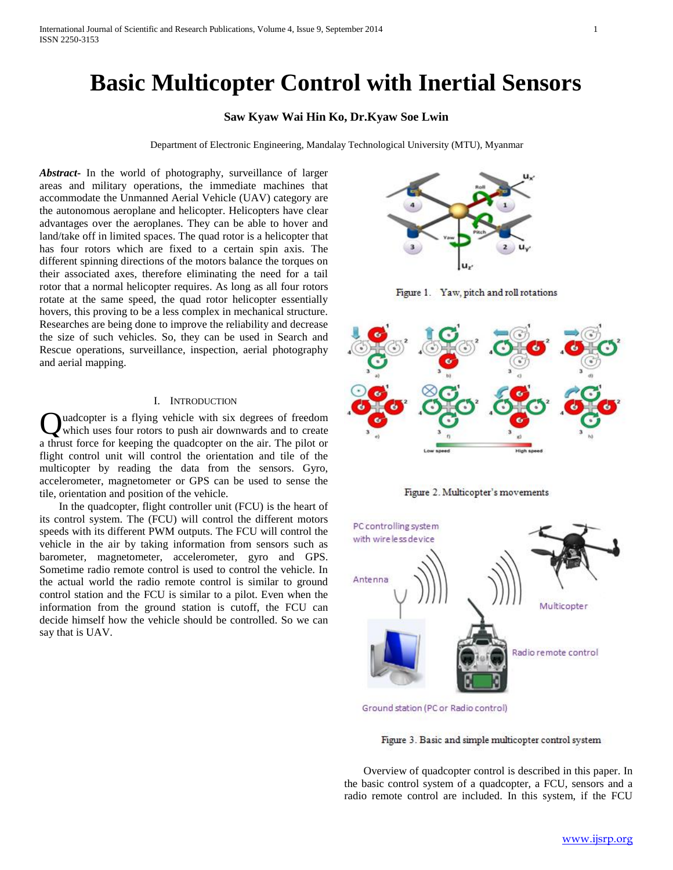# **Basic Multicopter Control with Inertial Sensors**

## **Saw Kyaw Wai Hin Ko, Dr.Kyaw Soe Lwin**

Department of Electronic Engineering, Mandalay Technological University (MTU), Myanmar

*Abstract***-** In the world of photography, surveillance of larger areas and military operations, the immediate machines that accommodate the Unmanned Aerial Vehicle (UAV) category are the autonomous aeroplane and helicopter. Helicopters have clear advantages over the aeroplanes. They can be able to hover and land/take off in limited spaces. The quad rotor is a helicopter that has four rotors which are fixed to a certain spin axis. The different spinning directions of the motors balance the torques on their associated axes, therefore eliminating the need for a tail rotor that a normal helicopter requires. As long as all four rotors rotate at the same speed, the quad rotor helicopter essentially hovers, this proving to be a less complex in mechanical structure. Researches are being done to improve the reliability and decrease the size of such vehicles. So, they can be used in Search and Rescue operations, surveillance, inspection, aerial photography and aerial mapping.

#### I. INTRODUCTION

uadcopter is a flying vehicle with six degrees of freedom which uses four rotors to push air downwards and to create a thrust force for keeping the quadcopter on the air. The pilot or flight control unit will control the orientation and tile of the multicopter by reading the data from the sensors. Gyro, accelerometer, magnetometer or GPS can be used to sense the tile, orientation and position of the vehicle. Q

 In the quadcopter, flight controller unit (FCU) is the heart of its control system. The (FCU) will control the different motors speeds with its different PWM outputs. The FCU will control the vehicle in the air by taking information from sensors such as barometer, magnetometer, accelerometer, gyro and GPS. Sometime radio remote control is used to control the vehicle. In the actual world the radio remote control is similar to ground control station and the FCU is similar to a pilot. Even when the information from the ground station is cutoff, the FCU can decide himself how the vehicle should be controlled. So we can say that is UAV.



Figure 1. Yaw, pitch and roll rotations







Ground station (PC or Radio control)

Figure 3. Basic and simple multicopter control system

 Overview of quadcopter control is described in this paper. In the basic control system of a quadcopter, a FCU, sensors and a radio remote control are included. In this system, if the FCU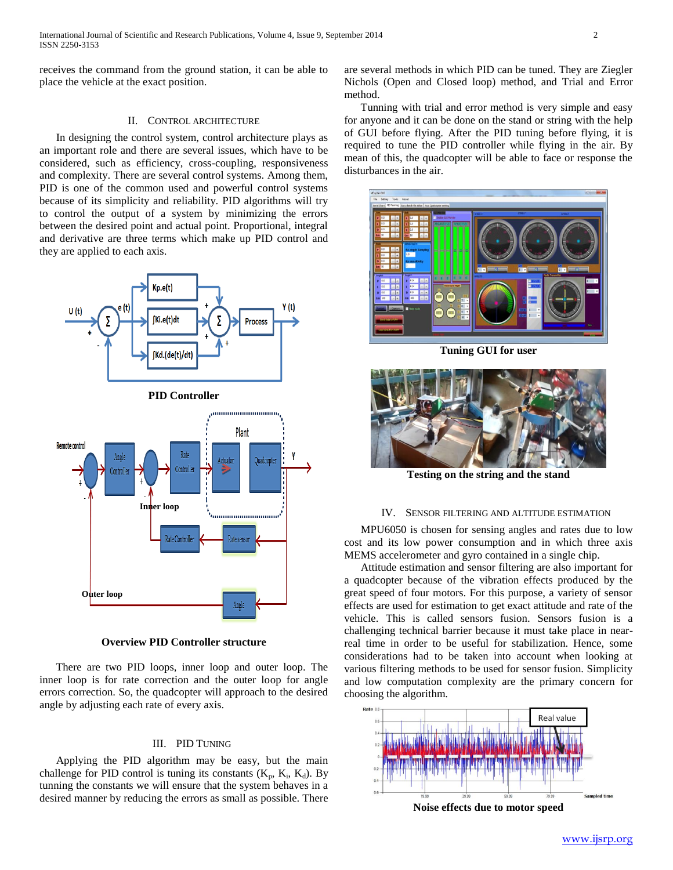receives the command from the ground station, it can be able to place the vehicle at the exact position.

#### II. CONTROL ARCHITECTURE

 In designing the control system, control architecture plays as an important role and there are several issues, which have to be considered, such as efficiency, cross-coupling, responsiveness and complexity. There are several control systems. Among them, PID is one of the common used and powerful control systems because of its simplicity and reliability. PID algorithms will try to control the output of a system by minimizing the errors between the desired point and actual point. Proportional, integral and derivative are three terms which make up PID control and they are applied to each axis.



**Overview PID Controller structure**

 There are two PID loops, inner loop and outer loop. The inner loop is for rate correction and the outer loop for angle errors correction. So, the quadcopter will approach to the desired angle by adjusting each rate of every axis.

#### III. PID TUNING

 Applying the PID algorithm may be easy, but the main challenge for PID control is tuning its constants  $(K_p, K_i, K_d)$ . By tunning the constants we will ensure that the system behaves in a desired manner by reducing the errors as small as possible. There

are several methods in which PID can be tuned. They are Ziegler Nichols (Open and Closed loop) method, and Trial and Error method.

 Tunning with trial and error method is very simple and easy for anyone and it can be done on the stand or string with the help of GUI before flying. After the PID tuning before flying, it is required to tune the PID controller while flying in the air. By mean of this, the quadcopter will be able to face or response the disturbances in the air.



**Tuning GUI for user**



**Testing on the string and the stand**

#### IV. SENSOR FILTERING AND ALTITUDE ESTIMATION

 MPU6050 is chosen for sensing angles and rates due to low cost and its low power consumption and in which three axis MEMS accelerometer and gyro contained in a single chip.

 Attitude estimation and sensor filtering are also important for a quadcopter because of the vibration effects produced by the great speed of four motors. For this purpose, a variety of sensor effects are used for estimation to get exact attitude and rate of the vehicle. This is called sensors fusion. Sensors fusion is a challenging technical barrier because it must take place in nearreal time in order to be useful for stabilization. Hence, some considerations had to be taken into account when looking at various filtering methods to be used for sensor fusion. Simplicity and low computation complexity are the primary concern for choosing the algorithm.



**Noise effects due to motor speed**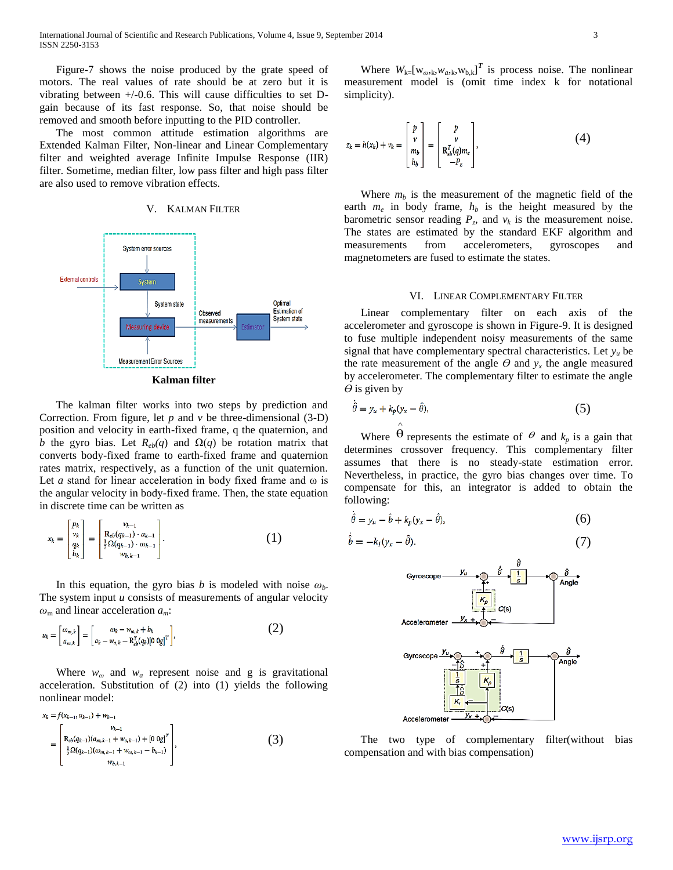Figure-7 shows the noise produced by the grate speed of motors. The real values of rate should be at zero but it is vibrating between  $+/-0.6$ . This will cause difficulties to set Dgain because of its fast response. So, that noise should be removed and smooth before inputting to the PID controller.

 The most common attitude estimation algorithms are Extended Kalman Filter, Non-linear and Linear Complementary filter and weighted average Infinite Impulse Response (IIR) filter. Sometime, median filter, low pass filter and high pass filter are also used to remove vibration effects.

## V. KALMAN FILTER



 The kalman filter works into two steps by prediction and Correction. From figure, let *p* and *v* be three-dimensional (3-D) position and velocity in earth-fixed frame, q the quaternion, and *b* the gyro bias. Let  $R_{eb}(q)$  and  $\Omega(q)$  be rotation matrix that converts body-fixed frame to earth-fixed frame and quaternion rates matrix, respectively, as a function of the unit quaternion. Let *a* stand for linear acceleration in body fixed frame and ω is the angular velocity in body-fixed frame. Then, the state equation in discrete time can be written as

$$
x_{k} = \begin{bmatrix} p_{k} \\ v_{k} \\ q_{k} \\ b_{k} \end{bmatrix} = \begin{bmatrix} v_{k-1} \\ \mathbf{R}_{eb}(q_{k-1}) \cdot a_{k-1} \\ \frac{1}{2} \Omega(q_{k-1}) \cdot \omega_{k-1} \\ w_{b,k-1} \end{bmatrix} .
$$
 (1)

In this equation, the gyro bias *b* is modeled with noise  $\omega_b$ . The system input *u* consists of measurements of angular velocity *ω*<sup>m</sup> and linear acceleration *am*:

$$
u_k = \begin{bmatrix} \omega_{m,k} \\ a_{m,k} \end{bmatrix} = \begin{bmatrix} \omega_k - w_{\omega,k} + b_k \\ a_k - w_{a,k} - R_{cb}^T(q_k)[0 \text{ og}]^T \end{bmatrix},
$$
(2)

Where  $w_{\omega}$  and  $w_{\alpha}$  represent noise and g is gravitational acceleration. Substitution of (2) into (1) yields the following nonlinear model:

$$
x_k = f(x_{k-1}, u_{k-1}) + w_{k-1}
$$
  
= 
$$
\begin{bmatrix} v_{k-1} \\ R_{eb}(q_{k-1})(a_{m,k-1} + w_{a,k-1}) + [0 \ 0 \end{bmatrix}^T
$$

$$
= \begin{bmatrix} 1 \\ \frac{1}{2}\Omega(q_{k-1})(\omega_{m,k-1} + w_{a,k-1} - b_{k-1}) \\ w_{b,k-1} \end{bmatrix},
$$
 (3)

Where  $W_{k}$ [ $W_{\omega k}$ , $W_{\omega k}$ , $W_{b,k}$ ]<sup>T</sup> is process noise. The nonlinear measurement model is (omit time index k for notational simplicity).

$$
z_k = h(x_k) + v_k = \begin{bmatrix} p \\ v \\ m_b \\ h_b \end{bmatrix} = \begin{bmatrix} p \\ v \\ \mathbf{R}_{eb}^T(q)m_e \\ -P_z \end{bmatrix}, \tag{4}
$$

Where  $m_b$  is the measurement of the magnetic field of the earth  $m_e$  in body frame,  $h_b$  is the height measured by the barometric sensor reading  $P_z$ , and  $v_k$  is the measurement noise. The states are estimated by the standard EKF algorithm and measurements from accelerometers, gyroscopes and magnetometers are fused to estimate the states.

#### VI. LINEAR COMPLEMENTARY FILTER

 Linear complementary filter on each axis of the accelerometer and gyroscope is shown in Figure-9. It is designed to fuse multiple independent noisy measurements of the same signal that have complementary spectral characteristics. Let  $y<sub>u</sub>$  be the rate measurement of the angle  $\theta$  and  $y_x$  the angle measured by accelerometer. The complementary filter to estimate the angle  $\theta$  is given by

$$
\hat{\theta} = y_u + k_p (y_x - \hat{\theta}),\tag{5}
$$

Where  $\hat{\theta}$  represents the estimate of  $\theta$  and  $k_p$  is a gain that determines crossover frequency. This complementary filter assumes that there is no steady-state estimation error. Nevertheless, in practice, the gyro bias changes over time. To compensate for this, an integrator is added to obtain the following:

$$
\hat{\theta} = y_u - \hat{b} + k_p(y_x - \hat{\theta}),\tag{6}
$$

$$
\hat{b} = -k_I (y_x - \hat{\theta}). \tag{7}
$$



 The two type of complementary filter(without bias compensation and with bias compensation)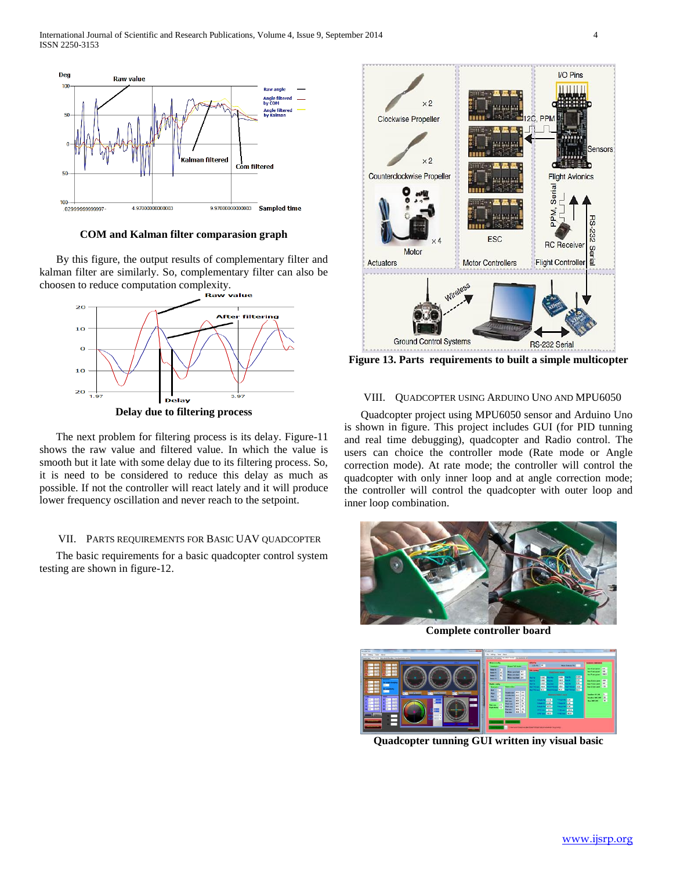

**COM and Kalman filter comparasion graph**

 By this figure, the output results of complementary filter and kalman filter are similarly. So, complementary filter can also be choosen to reduce computation complexity.



 The next problem for filtering process is its delay. Figure-11 shows the raw value and filtered value. In which the value is smooth but it late with some delay due to its filtering process. So, it is need to be considered to reduce this delay as much as possible. If not the controller will react lately and it will produce lower frequency oscillation and never reach to the setpoint.

#### VII. PARTS REQUIREMENTS FOR BASIC UAV QUADCOPTER

 The basic requirements for a basic quadcopter control system testing are shown in figure-12.



**Figure 13. Parts requirements to built a simple multicopter**

## VIII. QUADCOPTER USING ARDUINO UNO AND MPU6050

 Quadcopter project using MPU6050 sensor and Arduino Uno is shown in figure. This project includes GUI (for PID tunning and real time debugging), quadcopter and Radio control. The users can choice the controller mode (Rate mode or Angle correction mode). At rate mode; the controller will control the quadcopter with only inner loop and at angle correction mode; the controller will control the quadcopter with outer loop and inner loop combination.



**Complete controller board**



**Quadcopter tunning GUI written iny visual basic**